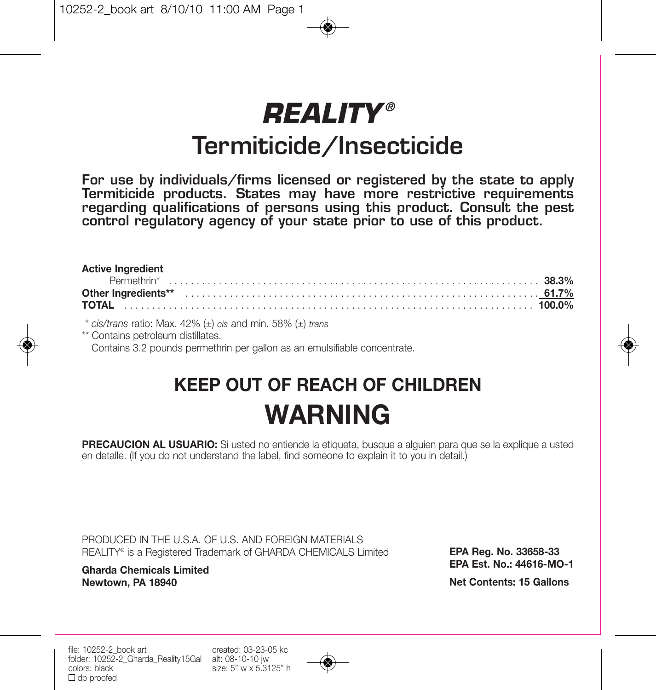10252-2\_book art 8/10/10 11:00 AM Page 1

# **REALITY® Termiticide/Insecticide**

**For use by individuals/firms licensed or registered by the state to apply Termiticide products. States may have more restrictive requirements regarding qualifications of persons using this product. Consult the pest control regulatory agency of your state prior to use of this product.**

# **Active Ingredient**

| Other Ingredients** indication is a constant of the contract of the constraint of the constraint of the constant of the constant of the constraint of the constraint of the constraint of the constraint of the constraint of |  |
|-------------------------------------------------------------------------------------------------------------------------------------------------------------------------------------------------------------------------------|--|
|                                                                                                                                                                                                                               |  |

\*.*cis/trans* ratio: Max. 42% (±) *cis* and min. 58% (±) *trans*

\*\* Contains petroleum distillates.

.Contains 3.2 pounds permethrin per gallon as an emulsifiable concentrate.

# **KEEP OUT OF REACH OF CHILDREN WARNING**

**PRECAUCION AL USUARIO:** Si usted no entiende la etiqueta, busque a alguien para que se la explique a usted en detalle. (If you do not understand the label, find someone to explain it to you in detail.)

PRODUCED IN THE U.S.A. OF U.S. AND FOREIGN MATERIALS REALITY® is a Registered Trademark of GHARDA CHEMICALS Limited

**Gharda Chemicals Limited Newtown, PA 18940**

**EPA Reg. No. 33658-33 EPA Est. No.: 44616-MO-1**

**Net Contents: 15 Gallons**

file: 10252-2\_book art created: 03-23-05 kc folder: 10252-2\_Gharda\_Reality15Gal alt: 08-10-10 jw  $\square$  dp proofed

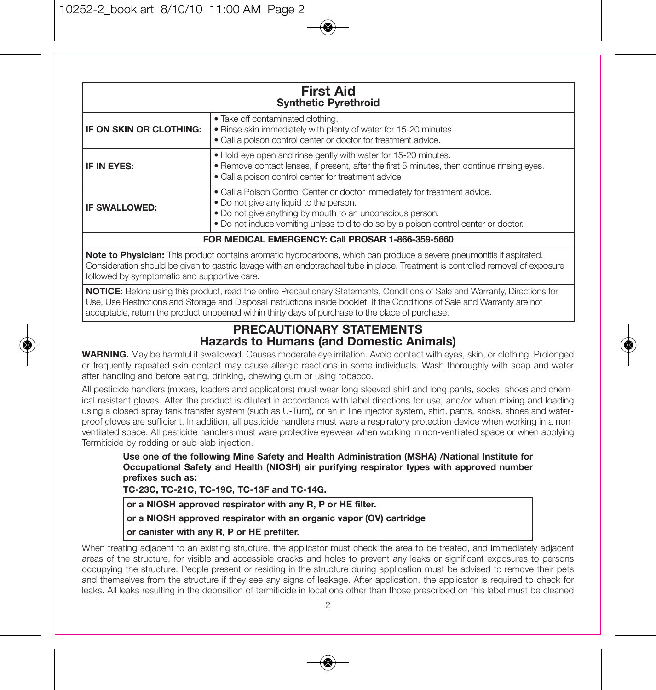| <b>First Aid</b><br><b>Synthetic Pyrethroid</b>   |                                                                                                                                                                                                                                                                           |  |  |  |  |  |  |  |  |  |  |  |
|---------------------------------------------------|---------------------------------------------------------------------------------------------------------------------------------------------------------------------------------------------------------------------------------------------------------------------------|--|--|--|--|--|--|--|--|--|--|--|
| IF ON SKIN OR CLOTHING:                           | • Take off contaminated clothing.<br>. Rinse skin immediately with plenty of water for 15-20 minutes.<br>. Call a poison control center or doctor for treatment advice.                                                                                                   |  |  |  |  |  |  |  |  |  |  |  |
| IF IN EYES:                                       | . Hold eye open and rinse gently with water for 15-20 minutes.<br>. Remove contact lenses, if present, after the first 5 minutes, then continue rinsing eyes.<br>· Call a poison control center for treatment advice                                                      |  |  |  |  |  |  |  |  |  |  |  |
| IF SWALLOWED:                                     | . Call a Poison Control Center or doctor immediately for treatment advice.<br>• Do not give any liquid to the person.<br>. Do not give anything by mouth to an unconscious person.<br>. Do not induce vomiting unless told to do so by a poison control center or doctor. |  |  |  |  |  |  |  |  |  |  |  |
| FOR MEDICAL EMERGENCY: Call PROSAR 1-866-359-5660 |                                                                                                                                                                                                                                                                           |  |  |  |  |  |  |  |  |  |  |  |

**Note to Physician:** This product contains aromatic hydrocarbons, which can produce a severe pneumonitis if aspirated. Consideration should be given to gastric lavage with an endotrachael tube in place. Treatment is controlled removal of exposure followed by symptomatic and supportive care.

**NOTICE:** Before using this product, read the entire Precautionary Statements, Conditions of Sale and Warranty, Directions for Use, Use Restrictions and Storage and Disposal instructions inside booklet. If the Conditions of Sale and Warranty are not acceptable, return the product unopened within thirty days of purchase to the place of purchase.

# **PRECAUTIONARY STATEMENTS Hazards to Humans (and Domestic Animals)**

**WARNING.** May be harmful if swallowed. Causes moderate eye irritation. Avoid contact with eyes, skin, or clothing. Prolonged or frequently repeated skin contact may cause allergic reactions in some individuals. Wash thoroughly with soap and water after handling and before eating, drinking, chewing gum or using tobacco.

All pesticide handlers (mixers, loaders and applicators) must wear long sleeved shirt and long pants, socks, shoes and chemical resistant gloves. After the product is diluted in accordance with label directions for use, and/or when mixing and loading using a closed spray tank transfer system (such as U-Turn), or an in line injector system, shirt, pants, socks, shoes and waterproof gloves are sufficient. In addition, all pesticide handlers must ware a respiratory protection device when working in a nonventilated space. All pesticide handlers must ware protective eyewear when working in non-ventilated space or when applying Termiticide by rodding or sub-slab injection.

**Use one of the following Mine Safety and Health Administration (MSHA) /National Institute for Occupational Safety and Health (NIOSH) air purifying respirator types with approved number prefixes such as:**

**TC-23C, TC-21C, TC-19C, TC-13F and TC-14G.**

**or a NIOSH approved respirator with any R, P or HE filter.**

**or a NIOSH approved respirator with an organic vapor (OV) cartridge**

**or canister with any R, P or HE prefilter.**

When treating adjacent to an existing structure, the applicator must check the area to be treated, and immediately adjacent areas of the structure, for visible and accessible cracks and holes to prevent any leaks or significant exposures to persons occupying the structure. People present or residing in the structure during application must be advised to remove their pets and themselves from the structure if they see any signs of leakage. After application, the applicator is required to check for leaks. All leaks resulting in the deposition of termiticide in locations other than those prescribed on this label must be cleaned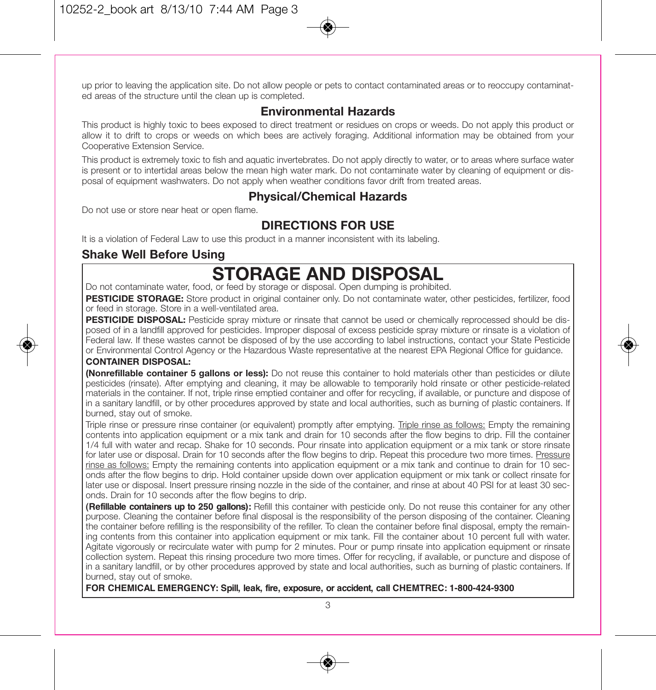up prior to leaving the application site. Do not allow people or pets to contact contaminated areas or to reoccupy contaminated areas of the structure until the clean up is completed.

### **Environmental Hazards**

This product is highly toxic to bees exposed to direct treatment or residues on crops or weeds. Do not apply this product or allow it to drift to crops or weeds on which bees are actively foraging. Additional information may be obtained from your Cooperative Extension Service.

This product is extremely toxic to fish and aquatic invertebrates. Do not apply directly to water, or to areas where surface water is present or to intertidal areas below the mean high water mark. Do not contaminate water by cleaning of equipment or disposal of equipment washwaters. Do not apply when weather conditions favor drift from treated areas.

# **Physical/Chemical Hazards**

Do not use or store near heat or open flame.

# **DIRECTIONS FOR USE**

It is a violation of Federal Law to use this product in a manner inconsistent with its labeling.

# **Shake Well Before Using**

# **STORAGE AND DISPOSAL**

Do not contaminate water, food, or feed by storage or disposal. Open dumping is prohibited.

**PESTICIDE STORAGE:** Store product in original container only. Do not contaminate water, other pesticides, fertilizer, food or feed in storage. Store in a well-ventilated area.

**PESTICIDE DISPOSAL:** Pesticide spray mixture or rinsate that cannot be used or chemically reprocessed should be disposed of in a landfill approved for pesticides. Improper disposal of excess pesticide spray mixture or rinsate is a violation of Federal law. If these wastes cannot be disposed of by the use according to label instructions, contact your State Pesticide or Environmental Control Agency or the Hazardous Waste representative at the nearest EPA Regional Office for guidance.

#### **CONTAINER DISPOSAL:**

**(Nonrefillable container 5 gallons or less):** Do not reuse this container to hold materials other than pesticides or dilute pesticides (rinsate). After emptying and cleaning, it may be allowable to temporarily hold rinsate or other pesticide-related materials in the container. If not, triple rinse emptied container and offer for recycling, if available, or puncture and dispose of in a sanitary landfill, or by other procedures approved by state and local authorities, such as burning of plastic containers. If burned, stay out of smoke.

Triple rinse or pressure rinse container (or equivalent) promptly after emptying. Triple rinse as follows: Empty the remaining contents into application equipment or a mix tank and drain for 10 seconds after the flow begins to drip. Fill the container 1/4 full with water and recap. Shake for 10 seconds. Pour rinsate into application equipment or a mix tank or store rinsate for later use or disposal. Drain for 10 seconds after the flow begins to drip. Repeat this procedure two more times. Pressure rinse as follows: Empty the remaining contents into application equipment or a mix tank and continue to drain for 10 seconds after the flow begins to drip. Hold container upside down over application equipment or mix tank or collect rinsate for later use or disposal. Insert pressure rinsing nozzle in the side of the container, and rinse at about 40 PSI for at least 30 seconds. Drain for 10 seconds after the flow begins to drip.

**(Refillable containers up to 250 gallons):** Refill this container with pesticide only. Do not reuse this container for any other purpose. Cleaning the container before final disposal is the responsibility of the person disposing of the container. Cleaning the container before refilling is the responsibility of the refiller. To clean the container before final disposal, empty the remaining contents from this container into application equipment or mix tank. Fill the container about 10 percent full with water. Agitate vigorously or recirculate water with pump for 2 minutes. Pour or pump rinsate into application equipment or rinsate collection system. Repeat this rinsing procedure two more times. Offer for recycling, if available, or puncture and dispose of in a sanitary landfill, or by other procedures approved by state and local authorities, such as burning of plastic containers. If burned, stay out of smoke.

**FOR CHEMICAL EMERGENCY: Spill, leak, fire, exposure, or accident, call CHEMTREC: 1-800-424-9300**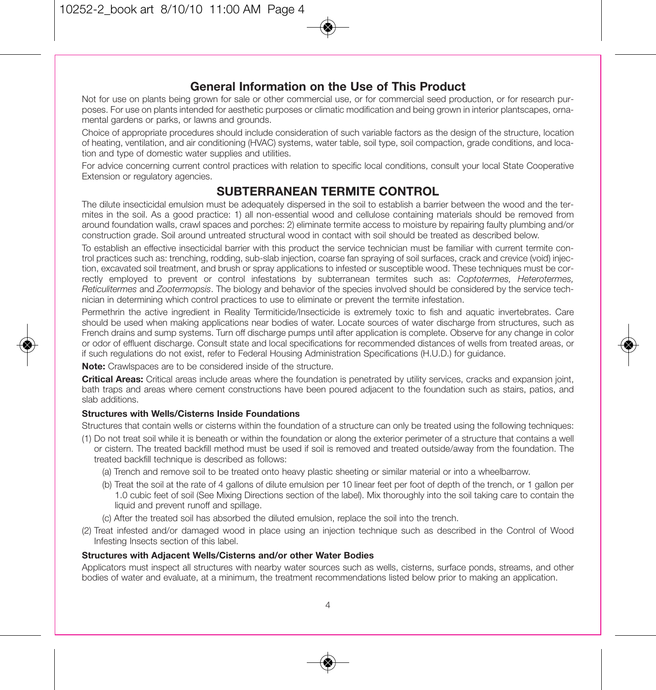## **General Information on the Use of This Product**

Not for use on plants being grown for sale or other commercial use, or for commercial seed production, or for research purposes. For use on plants intended for aesthetic purposes or climatic modification and being grown in interior plantscapes, ornamental gardens or parks, or lawns and grounds.

Choice of appropriate procedures should include consideration of such variable factors as the design of the structure, location of heating, ventilation, and air conditioning (HVAC) systems, water table, soil type, soil compaction, grade conditions, and location and type of domestic water supplies and utilities.

For advice concerning current control practices with relation to specific local conditions, consult your local State Cooperative Extension or regulatory agencies.

# **SUBTERRANEAN TERMITE CONTROL**

The dilute insecticidal emulsion must be adequately dispersed in the soil to establish a barrier between the wood and the termites in the soil. As a good practice: 1) all non-essential wood and cellulose containing materials should be removed from around foundation walls, crawl spaces and porches: 2) eliminate termite access to moisture by repairing faulty plumbing and/or construction grade. Soil around untreated structural wood in contact with soil should be treated as described below.

To establish an effective insecticidal barrier with this product the service technician must be familiar with current termite control practices such as: trenching, rodding, sub-slab injection, coarse fan spraying of soil surfaces, crack and crevice (void) injection, excavated soil treatment, and brush or spray applications to infested or susceptible wood. These techniques must be correctly employed to prevent or control infestations by subterranean termites such as: *Coptotermes, Heterotermes, Reticulitermes* and *Zootermopsis*. The biology and behavior of the species involved should be considered by the service technician in determining which control practices to use to eliminate or prevent the termite infestation.

Permethrin the active ingredient in Reality Termiticide/Insecticide is extremely toxic to fish and aquatic invertebrates. Care should be used when making applications near bodies of water. Locate sources of water discharge from structures, such as French drains and sump systems. Turn off discharge pumps until after application is complete. Observe for any change in color or odor of effluent discharge. Consult state and local specifications for recommended distances of wells from treated areas, or if such regulations do not exist, refer to Federal Housing Administration Specifications (H.U.D.) for guidance.

**Note:** Crawlspaces are to be considered inside of the structure.

**Critical Areas:** Critical areas include areas where the foundation is penetrated by utility services, cracks and expansion joint, bath traps and areas where cement constructions have been poured adjacent to the foundation such as stairs, patios, and slab additions.

#### **Structures with Wells/Cisterns Inside Foundations**

Structures that contain wells or cisterns within the foundation of a structure can only be treated using the following techniques:

- (1) Do not treat soil while it is beneath or within the foundation or along the exterior perimeter of a structure that contains a well or cistern. The treated backfill method must be used if soil is removed and treated outside/away from the foundation. The treated backfill technique is described as follows:
	- (a) Trench and remove soil to be treated onto heavy plastic sheeting or similar material or into a wheelbarrow.
	- (b) Treat the soil at the rate of 4 gallons of dilute emulsion per 10 linear feet per foot of depth of the trench, or 1 gallon per 1.0 cubic feet of soil (See Mixing Directions section of the label). Mix thoroughly into the soil taking care to contain the liquid and prevent runoff and spillage.
	- (c) After the treated soil has absorbed the diluted emulsion, replace the soil into the trench.
- (2) Treat infested and/or damaged wood in place using an injection technique such as described in the Control of Wood Infesting Insects section of this label.

#### **Structures with Adjacent Wells/Cisterns and/or other Water Bodies**

Applicators must inspect all structures with nearby water sources such as wells, cisterns, surface ponds, streams, and other bodies of water and evaluate, at a minimum, the treatment recommendations listed below prior to making an application.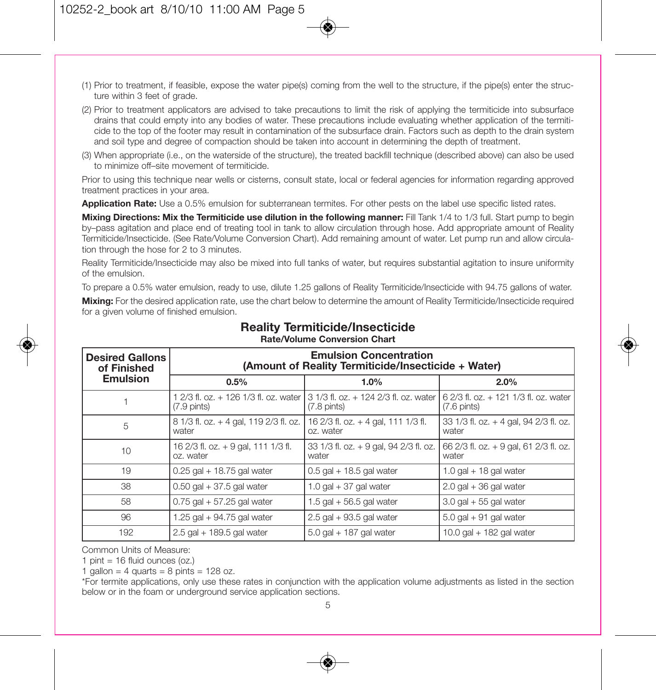- (1) Prior to treatment, if feasible, expose the water pipe(s) coming from the well to the structure, if the pipe(s) enter the structure within 3 feet of grade.
- (2) Prior to treatment applicators are advised to take precautions to limit the risk of applying the termiticide into subsurface drains that could empty into any bodies of water. These precautions include evaluating whether application of the termiticide to the top of the footer may result in contamination of the subsurface drain. Factors such as depth to the drain system and soil type and degree of compaction should be taken into account in determining the depth of treatment.
- (3) When appropriate (i.e., on the waterside of the structure), the treated backfill technique (described above) can also be used to minimize off–site movement of termiticide.

Prior to using this technique near wells or cisterns, consult state, local or federal agencies for information regarding approved treatment practices in your area.

**Application Rate:** Use a 0.5% emulsion for subterranean termites. For other pests on the label use specific listed rates.

**Mixing Directions: Mix the Termiticide use dilution in the following manner:** Fill Tank 1/4 to 1/3 full. Start pump to begin by–pass agitation and place end of treating tool in tank to allow circulation through hose. Add appropriate amount of Reality Termiticide/Insecticide. (See Rate/Volume Conversion Chart). Add remaining amount of water. Let pump run and allow circulation through the hose for 2 to 3 minutes.

Reality Termiticide/Insecticide may also be mixed into full tanks of water, but requires substantial agitation to insure uniformity of the emulsion.

To prepare a 0.5% water emulsion, ready to use, dilute 1.25 gallons of Reality Termiticide/Insecticide with 94.75 gallons of water.

**Mixing:** For the desired application rate, use the chart below to determine the amount of Reality Termiticide/Insecticide required for a given volume of finished emulsion.

| <b>Desired Gallons</b><br>of Finished |                                                                | (Amount of Reality Termiticide/Insecticide + Water)             |                                                                |
|---------------------------------------|----------------------------------------------------------------|-----------------------------------------------------------------|----------------------------------------------------------------|
| <b>Emulsion</b>                       | 0.5%                                                           | 1.0%                                                            | 2.0%                                                           |
|                                       | 1 2/3 fl. oz. + 126 1/3 fl. oz. water<br>$(7.9 \text{ pints})$ | 13 1/3 fl. oz. + 124 2/3 fl. oz. water<br>$(7.8 \text{ pints})$ | 6 2/3 fl. oz. + 121 1/3 fl. oz. water<br>$(7.6 \text{ pints})$ |
| 5                                     | 8 1/3 fl. oz. + 4 gal, 119 2/3 fl. oz.<br>water                | 16 2/3 fl. oz. + 4 gal, 111 1/3 fl.<br>oz. water                | 33 1/3 fl. oz. + 4 gal, 94 2/3 fl. oz.<br>water                |
| 10                                    | 16 2/3 fl. oz. + 9 gal, 111 1/3 fl.<br>oz. water               | 33 1/3 fl. oz. + 9 gal, 94 2/3 fl. oz.<br>water                 | 66 2/3 fl. oz. + 9 gal, 61 2/3 fl. oz.<br>water                |
| 19                                    | $0.25$ gal + 18.75 gal water                                   | $0.5$ gal + 18.5 gal water                                      | $1.0$ gal + 18 gal water                                       |
| 38                                    | $0.50$ gal $+37.5$ gal water                                   | $1.0$ gal $+37$ gal water                                       | $2.0$ gal $+36$ gal water                                      |
| 58                                    | $0.75$ gal $+57.25$ gal water                                  | $1.5$ gal $+56.5$ gal water                                     | $3.0$ gal $+55$ gal water                                      |
| 96                                    | $1.25$ gal $+94.75$ gal water                                  | $2.5$ gal $+93.5$ gal water                                     | $5.0$ gal $+91$ gal water                                      |
| 192                                   | $2.5$ gal + 189.5 gal water                                    | $5.0$ gal $+187$ gal water                                      | 10.0 gal $+$ 182 gal water                                     |

#### **Reality Termiticide/Insecticide Rate/Volume Conversion Chart**

Common Units of Measure:

1 pint  $= 16$  fluid ounces (oz.)

1 gallon = 4 quarts =  $8$  pints = 128 oz.

\*For termite applications, only use these rates in conjunction with the application volume adjustments as listed in the section below or in the foam or underground service application sections.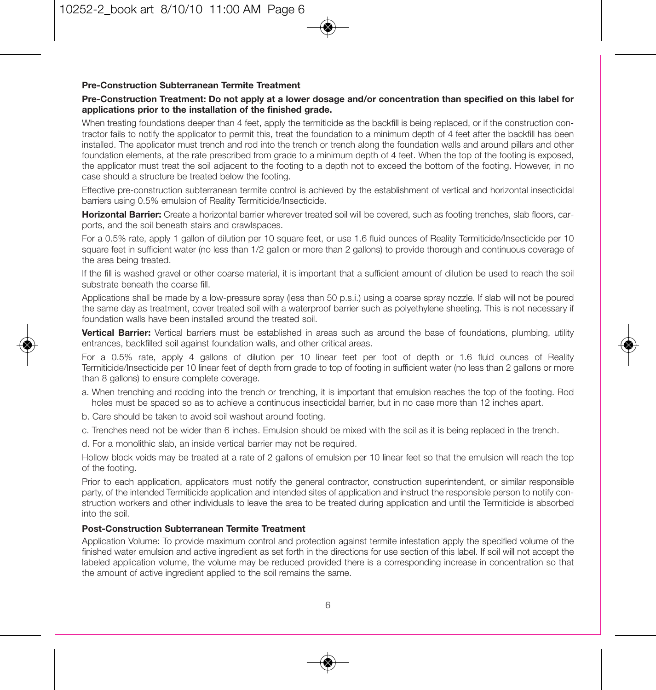#### **Pre-Construction Subterranean Termite Treatment**

#### **Pre-Construction Treatment: Do not apply at a lower dosage and/or concentration than specified on this label for applications prior to the installation of the finished grade.**

When treating foundations deeper than 4 feet, apply the termiticide as the backfill is being replaced, or if the construction contractor fails to notify the applicator to permit this, treat the foundation to a minimum depth of 4 feet after the backfill has been installed. The applicator must trench and rod into the trench or trench along the foundation walls and around pillars and other foundation elements, at the rate prescribed from grade to a minimum depth of 4 feet. When the top of the footing is exposed, the applicator must treat the soil adjacent to the footing to a depth not to exceed the bottom of the footing. However, in no case should a structure be treated below the footing.

Effective pre-construction subterranean termite control is achieved by the establishment of vertical and horizontal insecticidal barriers using 0.5% emulsion of Reality Termiticide/Insecticide.

**Horizontal Barrier:** Create a horizontal barrier wherever treated soil will be covered, such as footing trenches, slab floors, carports, and the soil beneath stairs and crawlspaces.

For a 0.5% rate, apply 1 gallon of dilution per 10 square feet, or use 1.6 fluid ounces of Reality Termiticide/Insecticide per 10 square feet in sufficient water (no less than 1/2 gallon or more than 2 gallons) to provide thorough and continuous coverage of the area being treated.

If the fill is washed gravel or other coarse material, it is important that a sufficient amount of dilution be used to reach the soil substrate beneath the coarse fill.

Applications shall be made by a low-pressure spray (less than 50 p.s.i.) using a coarse spray nozzle. If slab will not be poured the same day as treatment, cover treated soil with a waterproof barrier such as polyethylene sheeting. This is not necessary if foundation walls have been installed around the treated soil.

**Vertical Barrier:** Vertical barriers must be established in areas such as around the base of foundations, plumbing, utility entrances, backfilled soil against foundation walls, and other critical areas.

For a 0.5% rate, apply 4 gallons of dilution per 10 linear feet per foot of depth or 1.6 fluid ounces of Reality Termiticide/Insecticide per 10 linear feet of depth from grade to top of footing in sufficient water (no less than 2 gallons or more than 8 gallons) to ensure complete coverage.

a. When trenching and rodding into the trench or trenching, it is important that emulsion reaches the top of the footing. Rod holes must be spaced so as to achieve a continuous insecticidal barrier, but in no case more than 12 inches apart.

- b. Care should be taken to avoid soil washout around footing.
- c. Trenches need not be wider than 6 inches. Emulsion should be mixed with the soil as it is being replaced in the trench.

d. For a monolithic slab, an inside vertical barrier may not be required.

Hollow block voids may be treated at a rate of 2 gallons of emulsion per 10 linear feet so that the emulsion will reach the top of the footing.

Prior to each application, applicators must notify the general contractor, construction superintendent, or similar responsible party, of the intended Termiticide application and intended sites of application and instruct the responsible person to notify construction workers and other individuals to leave the area to be treated during application and until the Termiticide is absorbed into the soil.

#### **Post-Construction Subterranean Termite Treatment**

Application Volume: To provide maximum control and protection against termite infestation apply the specified volume of the finished water emulsion and active ingredient as set forth in the directions for use section of this label. If soil will not accept the labeled application volume, the volume may be reduced provided there is a corresponding increase in concentration so that the amount of active ingredient applied to the soil remains the same.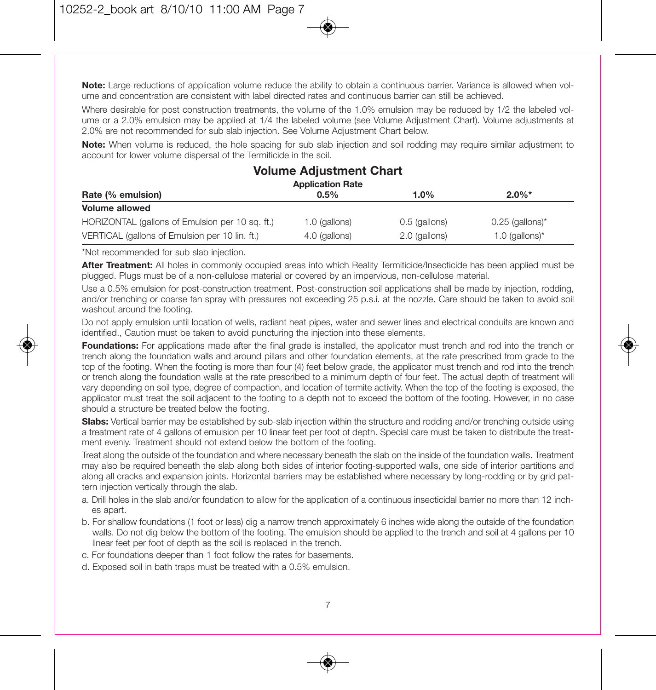**Note:** Large reductions of application volume reduce the ability to obtain a continuous barrier. Variance is allowed when volume and concentration are consistent with label directed rates and continuous barrier can still be achieved.

Where desirable for post construction treatments, the volume of the 1.0% emulsion may be reduced by 1/2 the labeled volume or a 2.0% emulsion may be applied at 1/4 the labeled volume (see Volume Adjustment Chart). Volume adjustments at 2.0% are not recommended for sub slab injection. See Volume Adjustment Chart below.

**Note:** When volume is reduced, the hole spacing for sub slab injection and soil rodding may require similar adjustment to account for lower volume dispersal of the Termiticide in the soil. **Volume Adjustment Chart**

|                                                 | <b>volume Adjustment Unart</b><br><b>Application Rate</b> |               |                              |
|-------------------------------------------------|-----------------------------------------------------------|---------------|------------------------------|
| Rate (% emulsion)                               | $0.5\%$                                                   | $1.0\%$       | $2.0\%$ *                    |
| <b>Volume allowed</b>                           |                                                           |               |                              |
| HORIZONTAL (gallons of Emulsion per 10 sq. ft.) | 1.0 (gallons)                                             | 0.5 (gallons) | $0.25$ (gallons)*            |
| VERTICAL (gallons of Emulsion per 10 lin. ft.)  | 4.0 (gallons)                                             | 2.0 (gallons) | $1.0$ (gallons) <sup>*</sup> |

\*Not recommended for sub slab injection.

After Treatment: All holes in commonly occupied areas into which Reality Termiticide/Insecticide has been applied must be plugged. Plugs must be of a non-cellulose material or covered by an impervious, non-cellulose material.

Use a 0.5% emulsion for post-construction treatment. Post-construction soil applications shall be made by injection, rodding, and/or trenching or coarse fan spray with pressures not exceeding 25 p.s.i. at the nozzle. Care should be taken to avoid soil washout around the footing.

Do not apply emulsion until location of wells, radiant heat pipes, water and sewer lines and electrical conduits are known and identified., Caution must be taken to avoid puncturing the injection into these elements.

**Foundations:** For applications made after the final grade is installed, the applicator must trench and rod into the trench or trench along the foundation walls and around pillars and other foundation elements, at the rate prescribed from grade to the top of the footing. When the footing is more than four (4) feet below grade, the applicator must trench and rod into the trench or trench along the foundation walls at the rate prescribed to a minimum depth of four feet. The actual depth of treatment will vary depending on soil type, degree of compaction, and location of termite activity. When the top of the footing is exposed, the applicator must treat the soil adjacent to the footing to a depth not to exceed the bottom of the footing. However, in no case should a structure be treated below the footing.

**Slabs:** Vertical barrier may be established by sub-slab injection within the structure and rodding and/or trenching outside using a treatment rate of 4 gallons of emulsion per 10 linear feet per foot of depth. Special care must be taken to distribute the treatment evenly. Treatment should not extend below the bottom of the footing.

Treat along the outside of the foundation and where necessary beneath the slab on the inside of the foundation walls. Treatment may also be required beneath the slab along both sides of interior footing-supported walls, one side of interior partitions and along all cracks and expansion joints. Horizontal barriers may be established where necessary by long-rodding or by grid pattern injection vertically through the slab.

- a. Drill holes in the slab and/or foundation to allow for the application of a continuous insecticidal barrier no more than 12 inches apart.
- b. For shallow foundations (1 foot or less) dig a narrow trench approximately 6 inches wide along the outside of the foundation walls. Do not dig below the bottom of the footing. The emulsion should be applied to the trench and soil at 4 gallons per 10 linear feet per foot of depth as the soil is replaced in the trench.
- c. For foundations deeper than 1 foot follow the rates for basements.
- d. Exposed soil in bath traps must be treated with a 0.5% emulsion.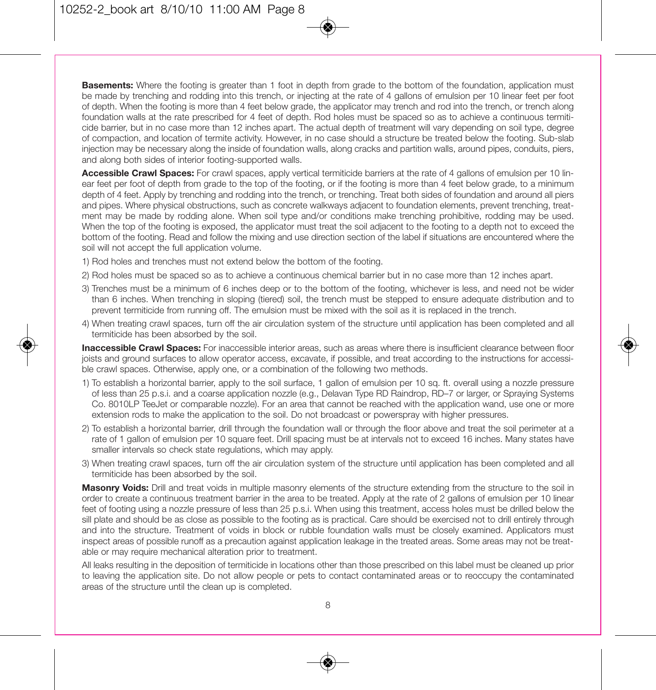**Basements:** Where the footing is greater than 1 foot in depth from grade to the bottom of the foundation, application must be made by trenching and rodding into this trench, or injecting at the rate of 4 gallons of emulsion per 10 linear feet per foot of depth. When the footing is more than 4 feet below grade, the applicator may trench and rod into the trench, or trench along foundation walls at the rate prescribed for 4 feet of depth. Rod holes must be spaced so as to achieve a continuous termiticide barrier, but in no case more than 12 inches apart. The actual depth of treatment will vary depending on soil type, degree of compaction, and location of termite activity. However, in no case should a structure be treated below the footing. Sub-slab injection may be necessary along the inside of foundation walls, along cracks and partition walls, around pipes, conduits, piers, and along both sides of interior footing-supported walls.

**Accessible Crawl Spaces:** For crawl spaces, apply vertical termiticide barriers at the rate of 4 gallons of emulsion per 10 linear feet per foot of depth from grade to the top of the footing, or if the footing is more than 4 feet below grade, to a minimum depth of 4 feet. Apply by trenching and rodding into the trench, or trenching. Treat both sides of foundation and around all piers and pipes. Where physical obstructions, such as concrete walkways adjacent to foundation elements, prevent trenching, treatment may be made by rodding alone. When soil type and/or conditions make trenching prohibitive, rodding may be used. When the top of the footing is exposed, the applicator must treat the soil adjacent to the footing to a depth not to exceed the bottom of the footing. Read and follow the mixing and use direction section of the label if situations are encountered where the soil will not accept the full application volume.

- 1) Rod holes and trenches must not extend below the bottom of the footing.
- 2) Rod holes must be spaced so as to achieve a continuous chemical barrier but in no case more than 12 inches apart.
- 3) Trenches must be a minimum of 6 inches deep or to the bottom of the footing, whichever is less, and need not be wider than 6 inches. When trenching in sloping (tiered) soil, the trench must be stepped to ensure adequate distribution and to prevent termiticide from running off. The emulsion must be mixed with the soil as it is replaced in the trench.
- 4) When treating crawl spaces, turn off the air circulation system of the structure until application has been completed and all termiticide has been absorbed by the soil.

**Inaccessible Crawl Spaces:** For inaccessible interior areas, such as areas where there is insufficient clearance between floor joists and ground surfaces to allow operator access, excavate, if possible, and treat according to the instructions for accessible crawl spaces. Otherwise, apply one, or a combination of the following two methods.

- 1) To establish a horizontal barrier, apply to the soil surface, 1 gallon of emulsion per 10 sq. ft. overall using a nozzle pressure of less than 25 p.s.i. and a coarse application nozzle (e.g., Delavan Type RD Raindrop, RD–7 or larger, or Spraying Systems Co. 8010LP TeeJet or comparable nozzle). For an area that cannot be reached with the application wand, use one or more extension rods to make the application to the soil. Do not broadcast or powerspray with higher pressures.
- 2) To establish a horizontal barrier, drill through the foundation wall or through the floor above and treat the soil perimeter at a rate of 1 gallon of emulsion per 10 square feet. Drill spacing must be at intervals not to exceed 16 inches. Many states have smaller intervals so check state regulations, which may apply.
- 3) When treating crawl spaces, turn off the air circulation system of the structure until application has been completed and all termiticide has been absorbed by the soil.

**Masonry Voids:** Drill and treat voids in multiple masonry elements of the structure extending from the structure to the soil in order to create a continuous treatment barrier in the area to be treated. Apply at the rate of 2 gallons of emulsion per 10 linear feet of footing using a nozzle pressure of less than 25 p.s.i. When using this treatment, access holes must be drilled below the sill plate and should be as close as possible to the footing as is practical. Care should be exercised not to drill entirely through and into the structure. Treatment of voids in block or rubble foundation walls must be closely examined. Applicators must inspect areas of possible runoff as a precaution against application leakage in the treated areas. Some areas may not be treatable or may require mechanical alteration prior to treatment.

All leaks resulting in the deposition of termiticide in locations other than those prescribed on this label must be cleaned up prior to leaving the application site. Do not allow people or pets to contact contaminated areas or to reoccupy the contaminated areas of the structure until the clean up is completed.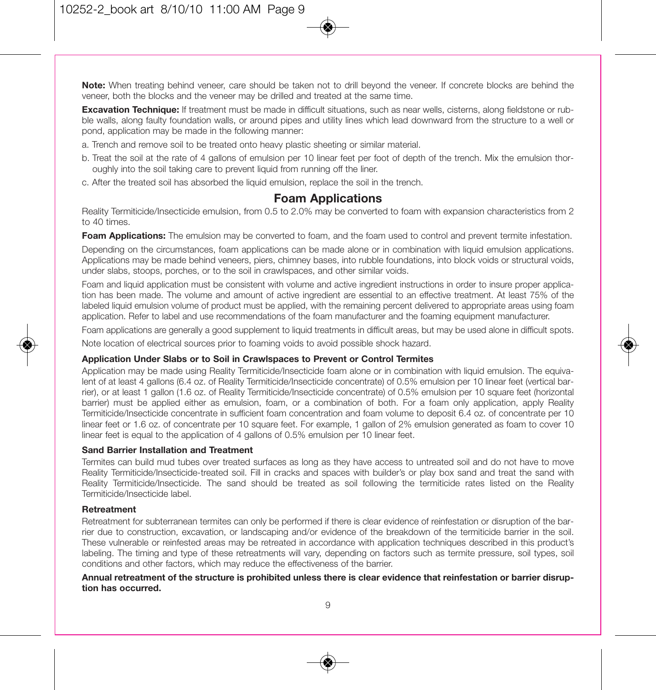**Note:** When treating behind veneer, care should be taken not to drill beyond the veneer. If concrete blocks are behind the veneer, both the blocks and the veneer may be drilled and treated at the same time.

**Excavation Technique:** If treatment must be made in difficult situations, such as near wells, cisterns, along fieldstone or rubble walls, along faulty foundation walls, or around pipes and utility lines which lead downward from the structure to a well or pond, application may be made in the following manner:

a. Trench and remove soil to be treated onto heavy plastic sheeting or similar material.

- b. Treat the soil at the rate of 4 gallons of emulsion per 10 linear feet per foot of depth of the trench. Mix the emulsion thoroughly into the soil taking care to prevent liquid from running off the liner.
- c. After the treated soil has absorbed the liquid emulsion, replace the soil in the trench.

# **Foam Applications**

Reality Termiticide/Insecticide emulsion, from 0.5 to 2.0% may be converted to foam with expansion characteristics from 2 to 40 times.

Foam Applications: The emulsion may be converted to foam, and the foam used to control and prevent termite infestation.

Depending on the circumstances, foam applications can be made alone or in combination with liquid emulsion applications. Applications may be made behind veneers, piers, chimney bases, into rubble foundations, into block voids or structural voids, under slabs, stoops, porches, or to the soil in crawlspaces, and other similar voids.

Foam and liquid application must be consistent with volume and active ingredient instructions in order to insure proper application has been made. The volume and amount of active ingredient are essential to an effective treatment. At least 75% of the labeled liquid emulsion volume of product must be applied, with the remaining percent delivered to appropriate areas using foam application. Refer to label and use recommendations of the foam manufacturer and the foaming equipment manufacturer.

Foam applications are generally a good supplement to liquid treatments in difficult areas, but may be used alone in difficult spots.

Note location of electrical sources prior to foaming voids to avoid possible shock hazard.

#### **Application Under Slabs or to Soil in Crawlspaces to Prevent or Control Termites**

Application may be made using Reality Termiticide/Insecticide foam alone or in combination with liquid emulsion. The equivalent of at least 4 gallons (6.4 oz. of Reality Termiticide/Insecticide concentrate) of 0.5% emulsion per 10 linear feet (vertical barrier), or at least 1 gallon (1.6 oz. of Reality Termiticide/Insecticide concentrate) of 0.5% emulsion per 10 square feet (horizontal barrier) must be applied either as emulsion, foam, or a combination of both. For a foam only application, apply Reality Termiticide/Insecticide concentrate in sufficient foam concentration and foam volume to deposit 6.4 oz. of concentrate per 10 linear feet or 1.6 oz. of concentrate per 10 square feet. For example, 1 gallon of 2% emulsion generated as foam to cover 10 linear feet is equal to the application of 4 gallons of 0.5% emulsion per 10 linear feet.

#### **Sand Barrier Installation and Treatment**

Termites can build mud tubes over treated surfaces as long as they have access to untreated soil and do not have to move Reality Termiticide/Insecticide-treated soil. Fill in cracks and spaces with builder's or play box sand and treat the sand with Reality Termiticide/Insecticide. The sand should be treated as soil following the termiticide rates listed on the Reality Termiticide/Insecticide label.

#### **Retreatment**

Retreatment for subterranean termites can only be performed if there is clear evidence of reinfestation or disruption of the barrier due to construction, excavation, or landscaping and/or evidence of the breakdown of the termiticide barrier in the soil. These vulnerable or reinfested areas may be retreated in accordance with application techniques described in this product's labeling. The timing and type of these retreatments will vary, depending on factors such as termite pressure, soil types, soil conditions and other factors, which may reduce the effectiveness of the barrier.

**Annual retreatment of the structure is prohibited unless there is clear evidence that reinfestation or barrier disruption has occurred.**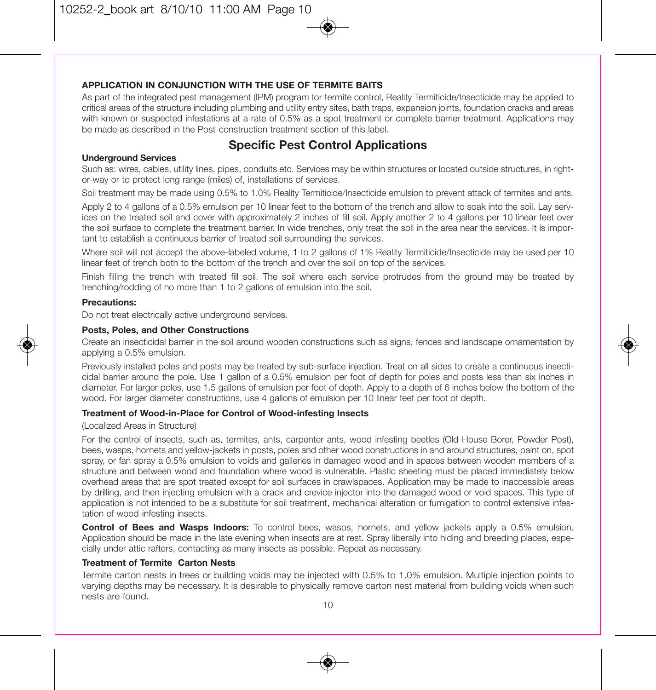#### **APPLICATION IN CONJUNCTION WITH THE USE OF TERMITE BAITS**

As part of the integrated pest management (IPM) program for termite control, Reality Termiticide/Insecticide may be applied to critical areas of the structure including plumbing and utility entry sites, bath traps, expansion joints, foundation cracks and areas with known or suspected infestations at a rate of 0.5% as a spot treatment or complete barrier treatment. Applications may be made as described in the Post-construction treatment section of this label.

# **Specific Pest Control Applications**

#### **Underground Services**

Such as: wires, cables, utility lines, pipes, conduits etc. Services may be within structures or located outside structures, in rightor-way or to protect long range (miles) of, installations of services.

Soil treatment may be made using 0.5% to 1.0% Reality Termiticide/Insecticide emulsion to prevent attack of termites and ants.

Apply 2 to 4 gallons of a 0.5% emulsion per 10 linear feet to the bottom of the trench and allow to soak into the soil. Lay services on the treated soil and cover with approximately 2 inches of fill soil. Apply another 2 to 4 gallons per 10 linear feet over the soil surface to complete the treatment barrier. In wide trenches, only treat the soil in the area near the services. It is important to establish a continuous barrier of treated soil surrounding the services.

Where soil will not accept the above-labeled volume, 1 to 2 gallons of 1% Reality Termiticide/Insecticide may be used per 10 linear feet of trench both to the bottom of the trench and over the soil on top of the services.

Finish filling the trench with treated fill soil. The soil where each service protrudes from the ground may be treated by trenching/rodding of no more than 1 to 2 gallons of emulsion into the soil.

#### **Precautions:**

Do not treat electrically active underground services.

#### **Posts, Poles, and Other Constructions**

Create an insecticidal barrier in the soil around wooden constructions such as signs, fences and landscape ornamentation by applying a 0.5% emulsion.

Previously installed poles and posts may be treated by sub-surface injection. Treat on all sides to create a continuous insecticidal barrier around the pole. Use 1 gallon of a 0.5% emulsion per foot of depth for poles and posts less than six inches in diameter. For larger poles, use 1.5 gallons of emulsion per foot of depth. Apply to a depth of 6 inches below the bottom of the wood. For larger diameter constructions, use 4 gallons of emulsion per 10 linear feet per foot of depth.

#### **Treatment of Wood-in-Place for Control of Wood-infesting Insects**

#### (Localized Areas in Structure)

For the control of insects, such as, termites, ants, carpenter ants, wood infesting beetles (Old House Borer, Powder Post), bees, wasps, hornets and yellow-jackets in posts, poles and other wood constructions in and around structures, paint on, spot spray, or fan spray a 0.5% emulsion to voids and galleries in damaged wood and in spaces between wooden members of a structure and between wood and foundation where wood is vulnerable. Plastic sheeting must be placed immediately below overhead areas that are spot treated except for soil surfaces in crawlspaces. Application may be made to inaccessible areas by drilling, and then injecting emulsion with a crack and crevice injector into the damaged wood or void spaces. This type of application is not intended to be a substitute for soil treatment, mechanical alteration or fumigation to control extensive infestation of wood-infesting insects.

**Control of Bees and Wasps Indoors:** To control bees, wasps, hornets, and yellow jackets apply a 0.5% emulsion. Application should be made in the late evening when insects are at rest. Spray liberally into hiding and breeding places, especially under attic rafters, contacting as many insects as possible. Repeat as necessary.

#### **Treatment of Termite Carton Nests**

Termite carton nests in trees or building voids may be injected with 0.5% to 1.0% emulsion. Multiple injection points to varying depths may be necessary. It is desirable to physically remove carton nest material from building voids when such nests are found.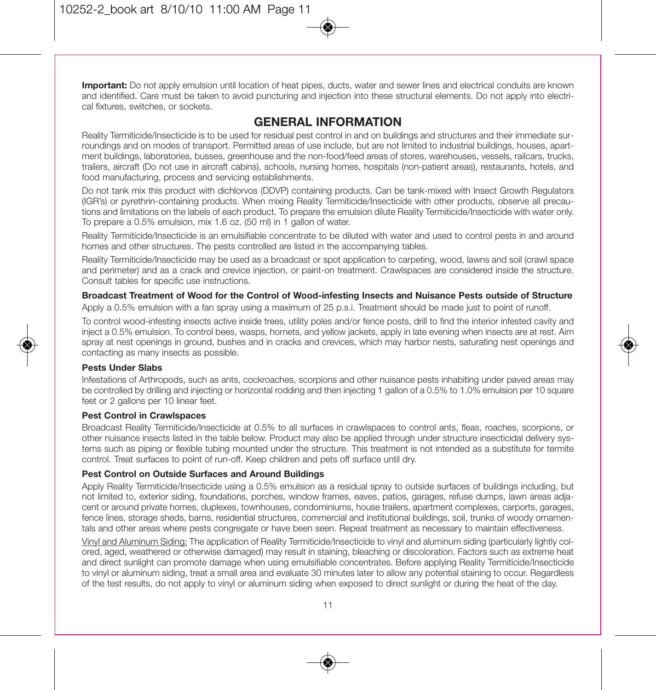**Important:** Do not apply emulsion until location of heat pipes, ducts, water and sewer lines and electrical conduits are known and identified. Care must be taken to avoid puncturing and injection into these structural elements. Do not apply into electrical fixtures, switches, or sockets.

# **GENERAL INFORMATION**

Reality Termiticide/Insecticide is to be used for residual pest control in and on buildings and structures and their immediate surroundings and on modes of transport. Permitted areas of use include, but are not limited to industrial buildings, houses, apartment buildings, laboratories, busses, greenhouse and the non-food/feed areas of stores, warehouses, vessels, railcars, trucks, trailers, aircraft (Do not use in aircraft cabins), schools, nursing homes, hospitals (non-patient areas), restaurants, hotels, and food manufacturing, process and servicing establishments.

Do not tank mix this product with dichlorvos (DDVP) containing products. Can be tank-mixed with Insect Growth Regulators (IGR's) or pyrethrin-containing products. When mixing Reality Termiticide/Insecticide with other products, observe all precautions and limitations on the labels of each product. To prepare the emulsion dilute Reality Termiticide/Insecticide with water only. To prepare a 0.5% emulsion, mix 1.6 oz. (50 ml) in 1 gallon of water.

Reality Termiticide/Insecticide is an emulsifiable concentrate to be diluted with water and used to control pests in and around homes and other structures. The pests controlled are listed in the accompanying tables.

Reality Termiticide/Insecticide may be used as a broadcast or spot application to carpeting, wood, lawns and soil (crawl space and perimeter) and as a crack and crevice injection, or paint-on treatment. Crawlspaces are considered inside the structure. Consult tables for specific use instructions.

#### **Broadcast Treatment of Wood for the Control of Wood-infesting Insects and Nuisance Pests outside of Structure**

Apply a 0.5% emulsion with a fan spray using a maximum of 25 p.s.i. Treatment should be made just to point of runoff.

To control wood-infesting insects active inside trees, utility poles and/or fence posts, drill to find the interior infested cavity and inject a 0.5% emulsion. To control bees, wasps, hornets, and yellow jackets, apply in late evening when insects are at rest. Aim spray at nest openings in ground, bushes and in cracks and crevices, which may harbor nests, saturating nest openings and contacting as many insects as possible.

#### **Pests Under Slabs**

Infestations of Arthropods, such as ants, cockroaches, scorpions and other nuisance pests inhabiting under paved areas may be controlled by drilling and injecting or horizontal rodding and then injecting 1 gallon of a 0.5% to 1.0% emulsion per 10 square feet or 2 gallons per 10 linear feet.

#### **Pest Control in Crawlspaces**

Broadcast Reality Termiticide/Insecticide at 0.5% to all surfaces in crawlspaces to control ants, fleas, roaches, scorpions, or other nuisance insects listed in the table below. Product may also be applied through under structure insecticidal delivery systems such as piping or flexible tubing mounted under the structure. This treatment is not intended as a substitute for termite control. Treat surfaces to point of run-off. Keep children and pets off surface until dry.

#### **Pest Control on Outside Surfaces and Around Buildings**

Apply Reality Termiticide/Insecticide using a 0.5% emulsion as a residual spray to outside surfaces of buildings including, but not limited to, exterior siding, foundations, porches, window frames, eaves, patios, garages, refuse dumps, lawn areas adjacent or around private homes, duplexes, townhouses, condominiums, house trailers, apartment complexes, carports, garages, fence lines, storage sheds, barns, residential structures, commercial and institutional buildings, soil, trunks of woody ornamentals and other areas where pests congregate or have been seen. Repeat treatment as necessary to maintain effectiveness.

Vinyl and Aluminum Siding: The application of Reality Termiticide/Insecticide to vinyl and aluminum siding (particularly lightly colored, aged, weathered or otherwise damaged) may result in staining, bleaching or discoloration. Factors such as extreme heat and direct sunlight can promote damage when using emulsifiable concentrates. Before applying Reality Termiticide/Insecticide to vinyl or aluminum siding, treat a small area and evaluate 30 minutes later to allow any potential staining to occur. Regardless of the test results, do not apply to vinyl or aluminum siding when exposed to direct sunlight or during the heat of the day.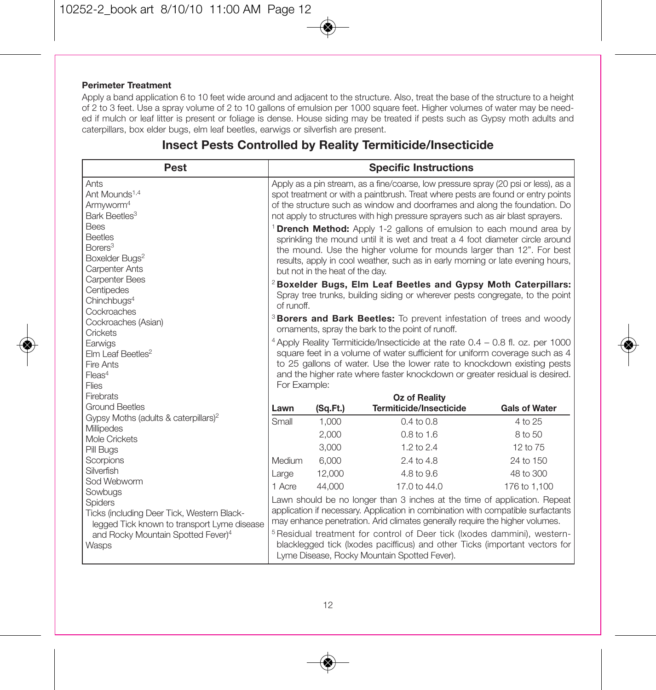#### **Perimeter Treatment**

Apply a band application 6 to 10 feet wide around and adjacent to the structure. Also, treat the base of the structure to a height of 2 to 3 feet. Use a spray volume of 2 to 10 gallons of emulsion per 1000 square feet. Higher volumes of water may be needed if mulch or leaf litter is present or foliage is dense. House siding may be treated if pests such as Gypsy moth adults and caterpillars, box elder bugs, elm leaf beetles, earwigs or silverfish are present.

# **Insect Pests Controlled by Reality Termiticide/Insecticide**

| Pest                                                                                                                                                                              | <b>Specific Instructions</b>                                                                                                                                                                                                                                                                                                                                                                                                                                                                                                                                                                                                                                                                                                                                                                                                                                         |          |                         |                      |  |  |  |  |  |  |  |
|-----------------------------------------------------------------------------------------------------------------------------------------------------------------------------------|----------------------------------------------------------------------------------------------------------------------------------------------------------------------------------------------------------------------------------------------------------------------------------------------------------------------------------------------------------------------------------------------------------------------------------------------------------------------------------------------------------------------------------------------------------------------------------------------------------------------------------------------------------------------------------------------------------------------------------------------------------------------------------------------------------------------------------------------------------------------|----------|-------------------------|----------------------|--|--|--|--|--|--|--|
| Ants<br>Ant Mounds <sup>1,4</sup><br>Armyworm <sup>4</sup><br>Bark Beetles <sup>3</sup>                                                                                           | Apply as a pin stream, as a fine/coarse, low pressure spray (20 psi or less), as a<br>spot treatment or with a paintbrush. Treat where pests are found or entry points<br>of the structure such as window and doorframes and along the foundation. Do<br>not apply to structures with high pressure sprayers such as air blast sprayers.<br><b>Drench Method:</b> Apply 1-2 gallons of emulsion to each mound area by<br>sprinkling the mound until it is wet and treat a 4 foot diameter circle around<br>the mound. Use the higher volume for mounds larger than 12". For best<br>results, apply in cool weather, such as in early morning or late evening hours,<br>but not in the heat of the day.<br><sup>2</sup> Boxelder Bugs, Elm Leaf Beetles and Gypsy Moth Caterpillars:<br>Spray tree trunks, building siding or wherever pests congregate, to the point |          |                         |                      |  |  |  |  |  |  |  |
| <b>Bees</b><br><b>Beetles</b><br>Borers <sup>3</sup><br>Boxelder Bugs <sup>2</sup><br>Carpenter Ants<br><b>Carpenter Bees</b><br>Centipedes<br>Chinchbugs <sup>4</sup>            |                                                                                                                                                                                                                                                                                                                                                                                                                                                                                                                                                                                                                                                                                                                                                                                                                                                                      |          |                         |                      |  |  |  |  |  |  |  |
| Cockroaches<br>Cockroaches (Asian)<br>Crickets<br>Earwigs                                                                                                                         | of runoff.<br><sup>3</sup> Borers and Bark Beetles: To prevent infestation of trees and woody<br>ornaments, spray the bark to the point of runoff.<br>$4$ Apply Reality Termiticide/Insecticide at the rate 0.4 - 0.8 fl. oz. per 1000                                                                                                                                                                                                                                                                                                                                                                                                                                                                                                                                                                                                                               |          |                         |                      |  |  |  |  |  |  |  |
| $F\text{Im} \perp \text{eaf Beetles}^2$<br>Fire Ants<br>Feas <sup>4</sup><br><b>Flies</b>                                                                                         | square feet in a volume of water sufficient for uniform coverage such as 4<br>to 25 gallons of water. Use the lower rate to knockdown existing pests<br>and the higher rate where faster knockdown or greater residual is desired.<br>For Example:                                                                                                                                                                                                                                                                                                                                                                                                                                                                                                                                                                                                                   |          |                         |                      |  |  |  |  |  |  |  |
| Firebrats                                                                                                                                                                         |                                                                                                                                                                                                                                                                                                                                                                                                                                                                                                                                                                                                                                                                                                                                                                                                                                                                      |          | <b>Oz of Reality</b>    |                      |  |  |  |  |  |  |  |
| <b>Ground Beetles</b>                                                                                                                                                             | Lawn                                                                                                                                                                                                                                                                                                                                                                                                                                                                                                                                                                                                                                                                                                                                                                                                                                                                 | (Sq.Ft.) | Termiticide/Insecticide | <b>Gals of Water</b> |  |  |  |  |  |  |  |
| Gypsy Moths (adults & caterpillars) <sup>2</sup>                                                                                                                                  | Small                                                                                                                                                                                                                                                                                                                                                                                                                                                                                                                                                                                                                                                                                                                                                                                                                                                                | 1.000    | $0.4 \text{ to } 0.8$   | 4 to 25              |  |  |  |  |  |  |  |
| Millipedes<br>Mole Crickets                                                                                                                                                       |                                                                                                                                                                                                                                                                                                                                                                                                                                                                                                                                                                                                                                                                                                                                                                                                                                                                      | 2.000    | $0.8 \text{ to } 1.6$   | 8 to 50              |  |  |  |  |  |  |  |
| Pill Bugs                                                                                                                                                                         |                                                                                                                                                                                                                                                                                                                                                                                                                                                                                                                                                                                                                                                                                                                                                                                                                                                                      | 3.000    | 1.2 to $2.4$            | 12 to 75             |  |  |  |  |  |  |  |
| Scorpions                                                                                                                                                                         | Medium                                                                                                                                                                                                                                                                                                                                                                                                                                                                                                                                                                                                                                                                                                                                                                                                                                                               | 6.000    | $2.4 \text{ to } 4.8$   | 24 to 150            |  |  |  |  |  |  |  |
| Silverfish                                                                                                                                                                        | Large                                                                                                                                                                                                                                                                                                                                                                                                                                                                                                                                                                                                                                                                                                                                                                                                                                                                | 12.000   | 4.8 to 9.6              | 48 to 300            |  |  |  |  |  |  |  |
| Sod Webworm                                                                                                                                                                       | 1 Acre                                                                                                                                                                                                                                                                                                                                                                                                                                                                                                                                                                                                                                                                                                                                                                                                                                                               | 44.000   | 17.0 to 44.0            | 176 to 1.100         |  |  |  |  |  |  |  |
| Sowbugs<br><b>Spiders</b><br>Ticks (including Deer Tick, Western Black-<br>legged Tick known to transport Lyme disease<br>and Rocky Mountain Spotted Fever) <sup>4</sup><br>Wasps | Lawn should be no longer than 3 inches at the time of application. Repeat<br>application if necessary. Application in combination with compatible surfactants<br>may enhance penetration. Arid climates generally require the higher volumes.<br><sup>5</sup> Residual treatment for control of Deer tick (Ixodes dammini), western-<br>blacklegged tick (Ixodes pacifficus) and other Ticks (important vectors for<br>Lyme Disease, Rocky Mountain Spotted Fever).                                                                                                                                                                                                                                                                                                                                                                                                  |          |                         |                      |  |  |  |  |  |  |  |

12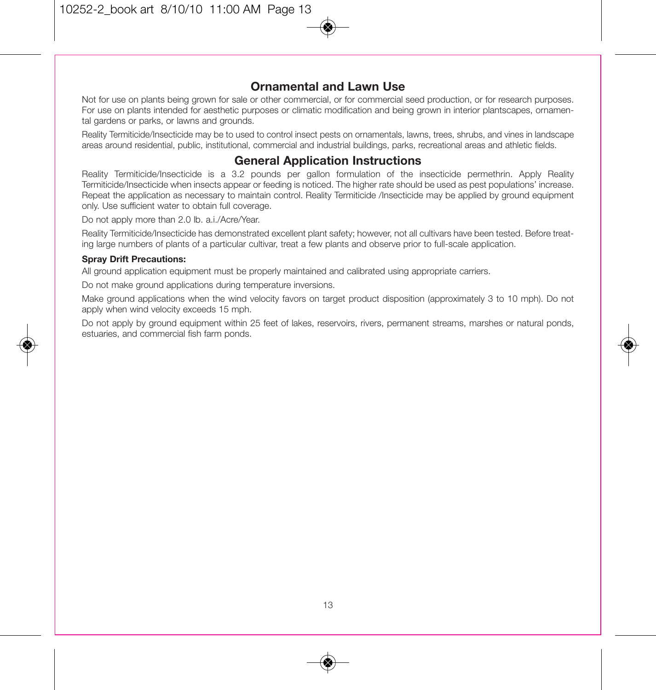## **Ornamental and Lawn Use**

Not for use on plants being grown for sale or other commercial, or for commercial seed production, or for research purposes. For use on plants intended for aesthetic purposes or climatic modification and being grown in interior plantscapes, ornamental gardens or parks, or lawns and grounds.

Reality Termiticide/Insecticide may be to used to control insect pests on ornamentals, lawns, trees, shrubs, and vines in landscape areas around residential, public, institutional, commercial and industrial buildings, parks, recreational areas and athletic fields.

# **General Application Instructions**

Reality Termiticide/Insecticide is a 3.2 pounds per gallon formulation of the insecticide permethrin. Apply Reality Termiticide/Insecticide when insects appear or feeding is noticed. The higher rate should be used as pest populations' increase. Repeat the application as necessary to maintain control. Reality Termiticide /Insecticide may be applied by ground equipment only. Use sufficient water to obtain full coverage.

Do not apply more than 2.0 lb. a.i./Acre/Year.

Reality Termiticide/Insecticide has demonstrated excellent plant safety; however, not all cultivars have been tested. Before treating large numbers of plants of a particular cultivar, treat a few plants and observe prior to full-scale application.

#### **Spray Drift Precautions:**

All ground application equipment must be properly maintained and calibrated using appropriate carriers.

Do not make ground applications during temperature inversions.

Make ground applications when the wind velocity favors on target product disposition (approximately 3 to 10 mph). Do not apply when wind velocity exceeds 15 mph.

Do not apply by ground equipment within 25 feet of lakes, reservoirs, rivers, permanent streams, marshes or natural ponds, estuaries, and commercial fish farm ponds.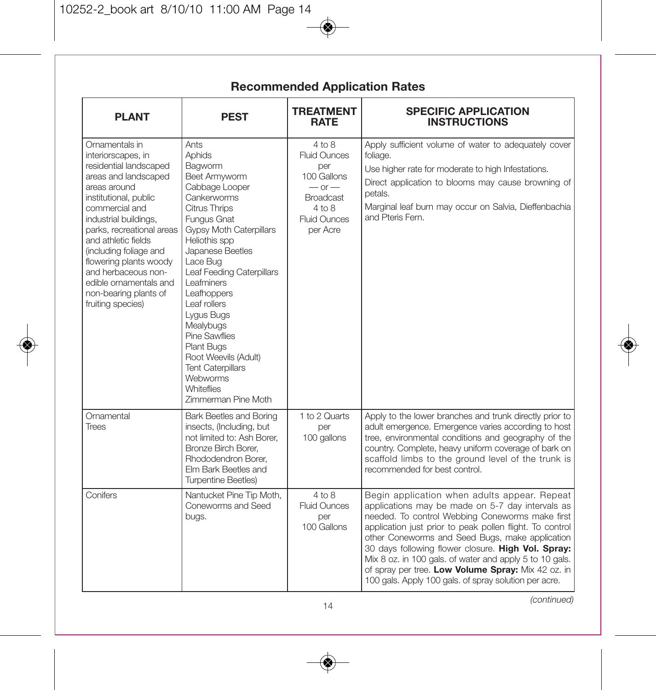| <b>PLANT</b>                                                                                                                                                                                                                                                                                                                                                                      | <b>PEST</b>                                                                                                                                                                                                                                                                                                                                                                                                                                            | <b>TREATMENT</b><br><b>RATE</b>                                                                                                            | <b>SPECIFIC APPLICATION</b><br><b>INSTRUCTIONS</b>                                                                                                                                                                                                                                                                                                                                                                                                                                                 |
|-----------------------------------------------------------------------------------------------------------------------------------------------------------------------------------------------------------------------------------------------------------------------------------------------------------------------------------------------------------------------------------|--------------------------------------------------------------------------------------------------------------------------------------------------------------------------------------------------------------------------------------------------------------------------------------------------------------------------------------------------------------------------------------------------------------------------------------------------------|--------------------------------------------------------------------------------------------------------------------------------------------|----------------------------------------------------------------------------------------------------------------------------------------------------------------------------------------------------------------------------------------------------------------------------------------------------------------------------------------------------------------------------------------------------------------------------------------------------------------------------------------------------|
| Ornamentals in<br>interiorscapes, in<br>residential landscaped<br>areas and landscaped<br>areas around<br>institutional, public<br>commercial and<br>industrial buildings.<br>parks, recreational areas<br>and athletic fields<br>(including foliage and<br>flowering plants woody<br>and herbaceous non-<br>edible ornamentals and<br>non-bearing plants of<br>fruiting species) | Ants<br>Aphids<br>Bagworm<br>Beet Armyworm<br>Cabbage Looper<br>Cankerworms<br>Citrus Thrips<br><b>Fungus Gnat</b><br>Gypsy Moth Caterpillars<br>Heliothis spp<br>Japanese Beetles<br>Lace Bug<br>Leaf Feeding Caterpillars<br>Leafminers<br>Leafhoppers<br>I eaf rollers<br>Lygus Bugs<br>Mealybugs<br>Pine Sawflies<br>Plant Bugs<br>Root Weevils (Adult)<br><b>Tent Caterpillars</b><br><b>Webworms</b><br><b>Whiteflies</b><br>Zimmerman Pine Moth | $4$ to $8$<br><b>Fluid Ounces</b><br>per<br>100 Gallons<br>$-$ or $-$<br><b>Broadcast</b><br>$4$ to $8$<br><b>Fluid Ounces</b><br>per Acre | Apply sufficient volume of water to adequately cover<br>foliage.<br>Use higher rate for moderate to high Infestations.<br>Direct application to blooms may cause browning of<br>petals.<br>Marginal leaf burn may occur on Salvia, Dieffenbachia<br>and Pteris Fern.                                                                                                                                                                                                                               |
| Ornamental<br><b>Trees</b>                                                                                                                                                                                                                                                                                                                                                        | Bark Beetles and Boring<br>insects, (Including, but<br>not limited to: Ash Borer.<br>Bronze Birch Borer.<br>Rhododendron Borer.<br>Elm Bark Beetles and<br><b>Turpentine Beetles)</b>                                                                                                                                                                                                                                                                  | 1 to 2 Quarts<br>per<br>100 gallons                                                                                                        | Apply to the lower branches and trunk directly prior to<br>adult emergence. Emergence varies according to host<br>tree, environmental conditions and geography of the<br>country. Complete, heavy uniform coverage of bark on<br>scaffold limbs to the ground level of the trunk is<br>recommended for best control.                                                                                                                                                                               |
| Conifers                                                                                                                                                                                                                                                                                                                                                                          | Nantucket Pine Tip Moth,<br>Coneworms and Seed<br>bugs.                                                                                                                                                                                                                                                                                                                                                                                                | $4$ to $8$<br><b>Fluid Ounces</b><br>per<br>100 Gallons                                                                                    | Begin application when adults appear. Repeat<br>applications may be made on 5-7 day intervals as<br>needed. To control Webbing Coneworms make first<br>application just prior to peak pollen flight. To control<br>other Coneworms and Seed Bugs, make application<br>30 days following flower closure. High Vol. Spray:<br>Mix 8 oz. in 100 gals. of water and apply 5 to 10 gals.<br>of spray per tree. Low Volume Spray: Mix 42 oz. in<br>100 gals. Apply 100 gals. of spray solution per acre. |

# **Recommended Application Rates**

<sup>14</sup> *(continued)*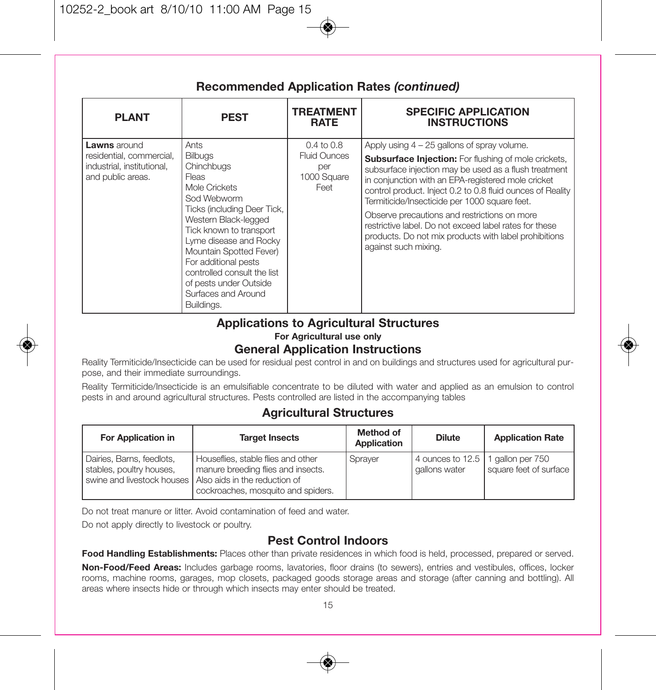| <b>PLANT</b>                                                                                | <b>PEST</b>                                                                                                                                                                                                                                                                                                                                | <b>TREATMENT</b><br><b>RATE</b>                                            | <b>SPECIFIC APPLICATION</b><br><b>INSTRUCTIONS</b>                                                                                                                                                                                                                                                                                                                                                                                                                                                                           |
|---------------------------------------------------------------------------------------------|--------------------------------------------------------------------------------------------------------------------------------------------------------------------------------------------------------------------------------------------------------------------------------------------------------------------------------------------|----------------------------------------------------------------------------|------------------------------------------------------------------------------------------------------------------------------------------------------------------------------------------------------------------------------------------------------------------------------------------------------------------------------------------------------------------------------------------------------------------------------------------------------------------------------------------------------------------------------|
| Lawns around<br>residential, commercial,<br>industrial, institutional,<br>and public areas. | Ants<br>Bilbugs<br>Chinchbugs<br><b>Fleas</b><br>Mole Crickets<br>Sod Webworm<br>Ticks (including Deer Tick,<br>Western Black-legged<br>Tick known to transport<br>Lyme disease and Rocky<br>Mountain Spotted Fever)<br>For additional pests<br>controlled consult the list<br>of pests under Outside<br>Surfaces and Around<br>Buildings. | $0.4 \text{ to } 0.8$<br><b>Fluid Ounces</b><br>per<br>1000 Square<br>Feet | Apply using 4 - 25 gallons of spray volume.<br>Subsurface Injection: For flushing of mole crickets,<br>subsurface injection may be used as a flush treatment<br>in conjunction with an EPA-registered mole cricket<br>control product. Inject 0.2 to 0.8 fluid ounces of Reality<br>Termiticide/Insecticide per 1000 square feet.<br>Observe precautions and restrictions on more<br>restrictive label. Do not exceed label rates for these<br>products. Do not mix products with label prohibitions<br>against such mixing. |

# **Recommended Application Rates** *(continued)*

### **Applications to Agricultural Structures For Agricultural use only General Application Instructions**

Reality Termiticide/Insecticide can be used for residual pest control in and on buildings and structures used for agricultural purpose, and their immediate surroundings.

Reality Termiticide/Insecticide is an emulsifiable concentrate to be diluted with water and applied as an emulsion to control pests in and around agricultural structures. Pests controlled are listed in the accompanying tables

# **Agricultural Structures**

| For Application in                                    | <b>Target Insects</b>                                                                                                                                                        | Method of<br>Application | <b>Dilute</b>                         | <b>Application Rate</b>                  |
|-------------------------------------------------------|------------------------------------------------------------------------------------------------------------------------------------------------------------------------------|--------------------------|---------------------------------------|------------------------------------------|
| Dairies, Barns, feedlots,<br>stables, poultry houses. | Houseflies, stable flies and other<br>manure breeding flies and insects.<br>swine and livestock houses   Also aids in the reduction of<br>cockroaches, mosquito and spiders. | Sprayer                  | 4 ounces to 12.5   1<br>gallons water | gallon per 750<br>square feet of surface |

Do not treat manure or litter. Avoid contamination of feed and water.

Do not apply directly to livestock or poultry.

# **Pest Control Indoors**

**Food Handling Establishments:** Places other than private residences in which food is held, processed, prepared or served.

**Non-Food/Feed Areas:** Includes garbage rooms, lavatories, floor drains (to sewers), entries and vestibules, offices, locker rooms, machine rooms, garages, mop closets, packaged goods storage areas and storage (after canning and bottling). All areas where insects hide or through which insects may enter should be treated.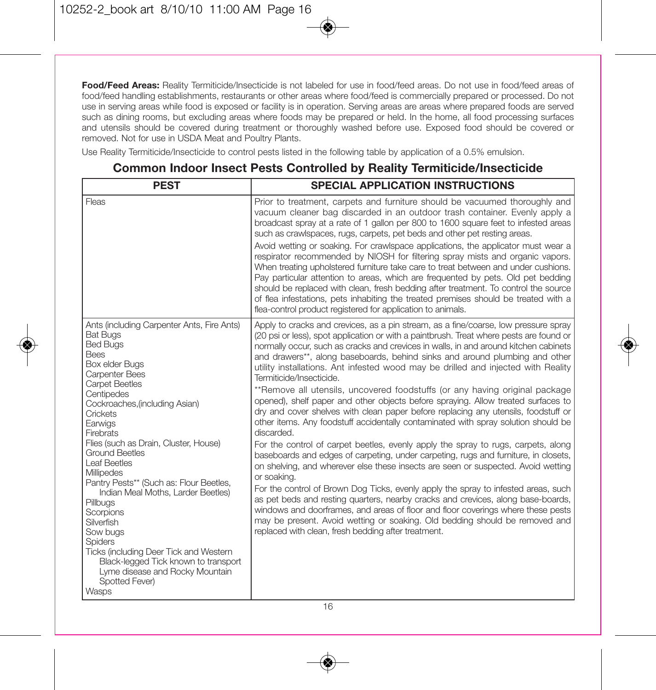**Food/Feed Areas:** Reality Termiticide/Insecticide is not labeled for use in food/feed areas. Do not use in food/feed areas of food/feed handling establishments, restaurants or other areas where food/feed is commercially prepared or processed. Do not use in serving areas while food is exposed or facility is in operation. Serving areas are areas where prepared foods are served such as dining rooms, but excluding areas where foods may be prepared or held. In the home, all food processing surfaces and utensils should be covered during treatment or thoroughly washed before use. Exposed food should be covered or removed. Not for use in USDA Meat and Poultry Plants.

Use Reality Termiticide/Insecticide to control pests listed in the following table by application of a 0.5% emulsion.

| <b>PEST</b>                                                                                                                                                                                                                                                                                                                                                                                                                                                                                                                                                                                                                                                           | <b>SPECIAL APPLICATION INSTRUCTIONS</b>                                                                                                                                                                                                                                                                                                                                                                                                                                                                                                                                                                                                                                                                                                                                                                                                                                                                                                                                                                                                                                                                                                                                                                                                                                                                                                                                                                                                                                                                                  |
|-----------------------------------------------------------------------------------------------------------------------------------------------------------------------------------------------------------------------------------------------------------------------------------------------------------------------------------------------------------------------------------------------------------------------------------------------------------------------------------------------------------------------------------------------------------------------------------------------------------------------------------------------------------------------|--------------------------------------------------------------------------------------------------------------------------------------------------------------------------------------------------------------------------------------------------------------------------------------------------------------------------------------------------------------------------------------------------------------------------------------------------------------------------------------------------------------------------------------------------------------------------------------------------------------------------------------------------------------------------------------------------------------------------------------------------------------------------------------------------------------------------------------------------------------------------------------------------------------------------------------------------------------------------------------------------------------------------------------------------------------------------------------------------------------------------------------------------------------------------------------------------------------------------------------------------------------------------------------------------------------------------------------------------------------------------------------------------------------------------------------------------------------------------------------------------------------------------|
| Fleas                                                                                                                                                                                                                                                                                                                                                                                                                                                                                                                                                                                                                                                                 | Prior to treatment, carpets and furniture should be vacuumed thoroughly and<br>vacuum cleaner bag discarded in an outdoor trash container. Evenly apply a<br>broadcast spray at a rate of 1 gallon per 800 to 1600 square feet to infested areas<br>such as crawlspaces, rugs, carpets, pet beds and other pet resting areas.<br>Avoid wetting or soaking. For crawlspace applications, the applicator must wear a<br>respirator recommended by NIOSH for filtering spray mists and organic vapors.<br>When treating upholstered furniture take care to treat between and under cushions.<br>Pay particular attention to areas, which are frequented by pets. Old pet bedding<br>should be replaced with clean, fresh bedding after treatment. To control the source<br>of flea infestations, pets inhabiting the treated premises should be treated with a<br>flea-control product registered for application to animals.                                                                                                                                                                                                                                                                                                                                                                                                                                                                                                                                                                                               |
| Ants (including Carpenter Ants, Fire Ants)<br><b>Bat Bugs</b><br><b>Bed Bugs</b><br><b>Bees</b><br>Box elder Bugs<br><b>Carpenter Bees</b><br><b>Carpet Beetles</b><br>Centipedes<br>Cockroaches, (including Asian)<br>Crickets<br>Earwigs<br><b>Firebrats</b><br>Flies (such as Drain, Cluster, House)<br><b>Ground Beetles</b><br>I eaf Beetles<br><b>Millipedes</b><br>Pantry Pests** (Such as: Flour Beetles,<br>Indian Meal Moths, Larder Beetles)<br>Pillbuas<br>Scorpions<br>Silverfish<br>Sow bugs<br>Spiders<br>Ticks (including Deer Tick and Western<br>Black-legged Tick known to transport<br>Lyme disease and Rocky Mountain<br>Spotted Fever)<br>Wasps | Apply to cracks and crevices, as a pin stream, as a fine/coarse, low pressure spray<br>(20 psi or less), spot application or with a paintbrush. Treat where pests are found or<br>normally occur, such as cracks and crevices in walls, in and around kitchen cabinets<br>and drawers**, along baseboards, behind sinks and around plumbing and other<br>utility installations. Ant infested wood may be drilled and injected with Reality<br>Termiticide/Insecticide.<br>**Remove all utensils, uncovered foodstuffs (or any having original package<br>opened), shelf paper and other objects before spraying. Allow treated surfaces to<br>dry and cover shelves with clean paper before replacing any utensils, foodstuff or<br>other items. Any foodstuff accidentally contaminated with spray solution should be<br>discarded.<br>For the control of carpet beetles, evenly apply the spray to rugs, carpets, along<br>baseboards and edges of carpeting, under carpeting, rugs and furniture, in closets,<br>on shelving, and wherever else these insects are seen or suspected. Avoid wetting<br>or soaking.<br>For the control of Brown Dog Ticks, evenly apply the spray to infested areas, such<br>as pet beds and resting quarters, nearby cracks and crevices, along base-boards,<br>windows and doorframes, and areas of floor and floor coverings where these pests<br>may be present. Avoid wetting or soaking. Old bedding should be removed and<br>replaced with clean, fresh bedding after treatment. |

# **Common Indoor Insect Pests Controlled by Reality Termiticide/Insecticide**

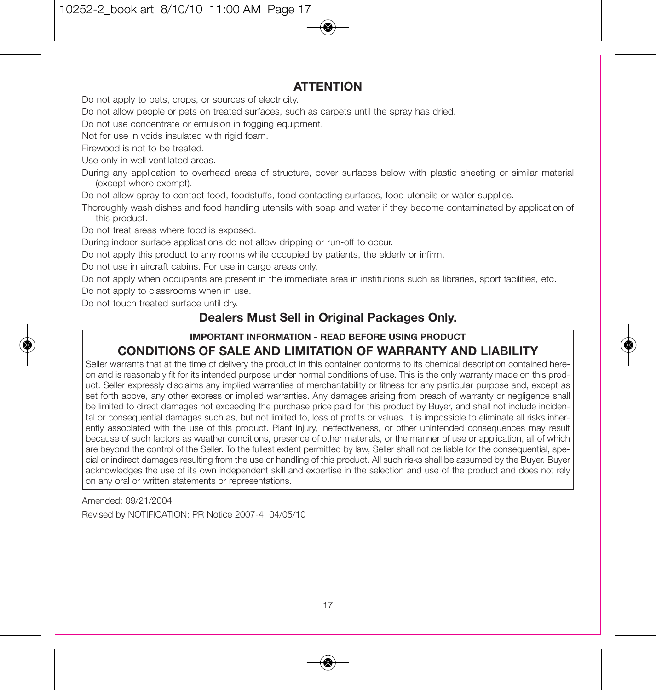10252-2\_book art 8/10/10 11:00 AM Page 17

# **ATTENTION**

Do not apply to pets, crops, or sources of electricity.

Do not allow people or pets on treated surfaces, such as carpets until the spray has dried.

Do not use concentrate or emulsion in fogging equipment.

Not for use in voids insulated with rigid foam.

Firewood is not to be treated.

Use only in well ventilated areas.

During any application to overhead areas of structure, cover surfaces below with plastic sheeting or similar material (except where exempt).

Do not allow spray to contact food, foodstuffs, food contacting surfaces, food utensils or water supplies.

Thoroughly wash dishes and food handling utensils with soap and water if they become contaminated by application of this product.

Do not treat areas where food is exposed.

During indoor surface applications do not allow dripping or run-off to occur.

Do not apply this product to any rooms while occupied by patients, the elderly or infirm.

Do not use in aircraft cabins. For use in cargo areas only.

Do not apply when occupants are present in the immediate area in institutions such as libraries, sport facilities, etc.

Do not apply to classrooms when in use.

Do not touch treated surface until dry.

# **Dealers Must Sell in Original Packages Only.**

# **IMPORTANT INFORMATION - READ BEFORE USING PRODUCT CONDITIONS OF SALE AND LIMITATION OF WARRANTY AND LIABILITY**

Seller warrants that at the time of delivery the product in this container conforms to its chemical description contained hereon and is reasonably fit for its intended purpose under normal conditions of use. This is the only warranty made on this product. Seller expressly disclaims any implied warranties of merchantability or fitness for any particular purpose and, except as set forth above, any other express or implied warranties. Any damages arising from breach of warranty or negligence shall be limited to direct damages not exceeding the purchase price paid for this product by Buyer, and shall not include incidental or consequential damages such as, but not limited to, loss of profits or values. It is impossible to eliminate all risks inherently associated with the use of this product. Plant injury, ineffectiveness, or other unintended consequences may result because of such factors as weather conditions, presence of other materials, or the manner of use or application, all of which are beyond the control of the Seller. To the fullest extent permitted by law, Seller shall not be liable for the consequential, special or indirect damages resulting from the use or handling of this product. All such risks shall be assumed by the Buyer. Buyer acknowledges the use of its own independent skill and expertise in the selection and use of the product and does not rely on any oral or written statements or representations.

Amended: 09/21/2004

Revised by NOTIFICATION: PR Notice 2007-4 04/05/10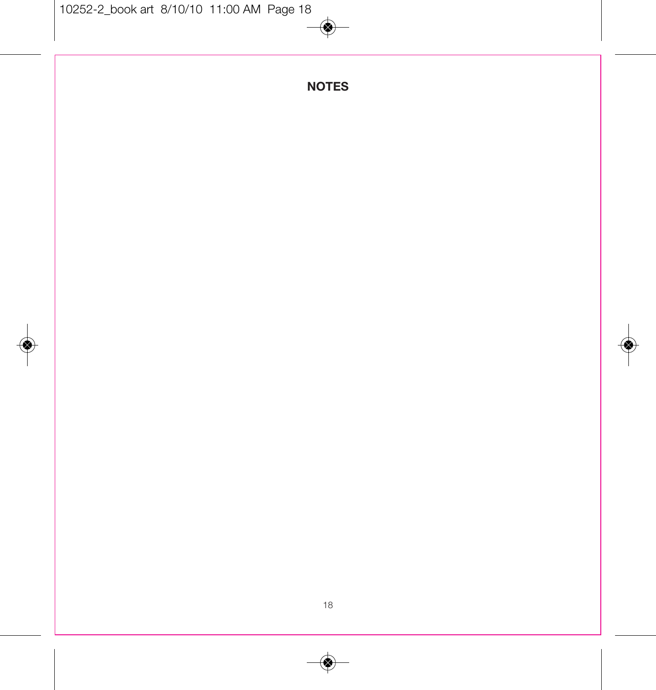

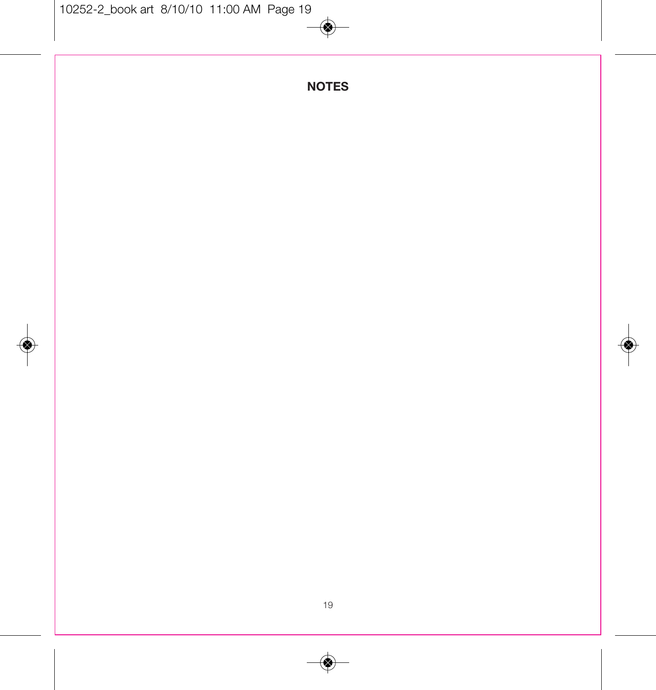

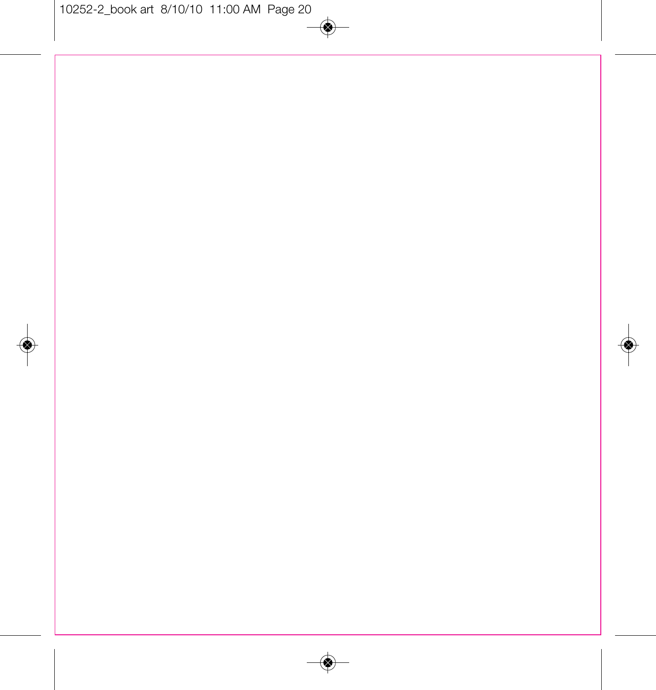10252-2\_book art 8/10/10 11:00 AM Page 20